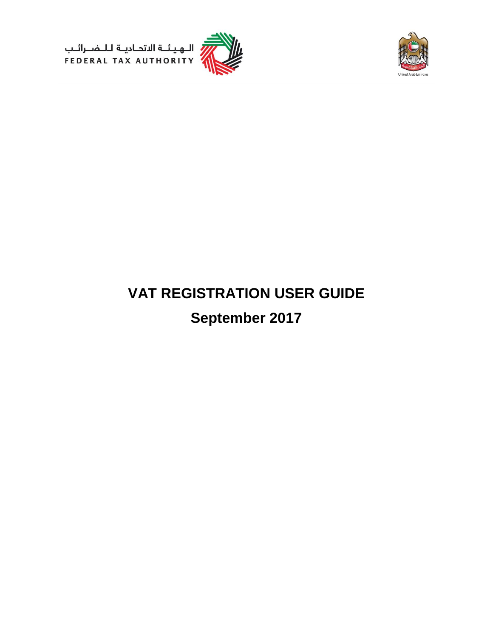





# **VAT REGISTRATION USER GUIDE September 2017**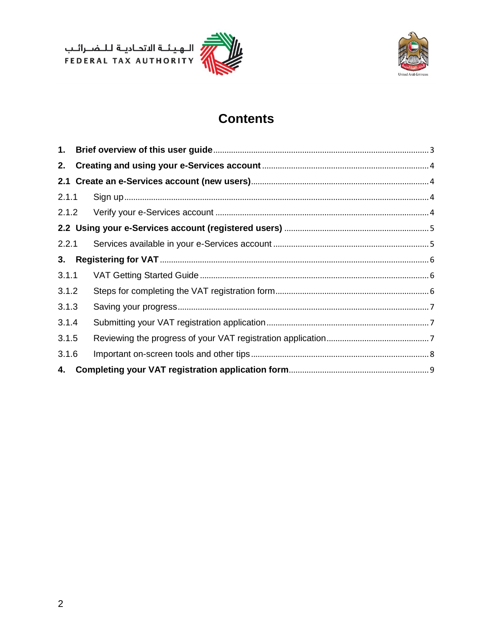ر<br>| الـهـيـئــة الىتحـاديــة لـلــضــرائــب<br>| FEDERAL TAX AUTHORITY





## **Contents**

| 1.    |  |
|-------|--|
| 2.    |  |
|       |  |
| 2.1.1 |  |
| 2.1.2 |  |
|       |  |
| 2.2.1 |  |
| 3.    |  |
| 3.1.1 |  |
| 3.1.2 |  |
| 3.1.3 |  |
| 3.1.4 |  |
| 3.1.5 |  |
| 3.1.6 |  |
| 4.    |  |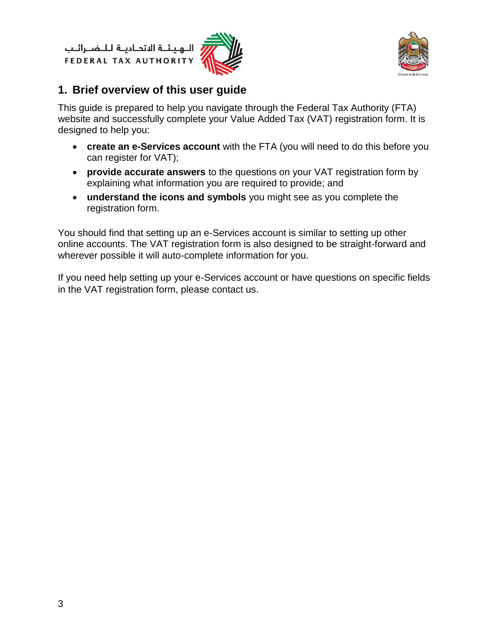الــهـيـئــة الىتحــاديــة لــلــضـــرائــب<br>FEDERAL TAX AUTHORITY





## <span id="page-2-0"></span>**1. Brief overview of this user guide**

This guide is prepared to help you navigate through the Federal Tax Authority (FTA) website and successfully complete your Value Added Tax (VAT) registration form. It is designed to help you:

- **create an e-Services account** with the FTA (you will need to do this before you can register for VAT);
- **provide accurate answers** to the questions on your VAT registration form by explaining what information you are required to provide; and
- **understand the icons and symbols** you might see as you complete the registration form.

You should find that setting up an e-Services account is similar to setting up other online accounts. The VAT registration form is also designed to be straight-forward and wherever possible it will auto-complete information for you.

If you need help setting up your e-Services account or have questions on specific fields in the VAT registration form, please contact us.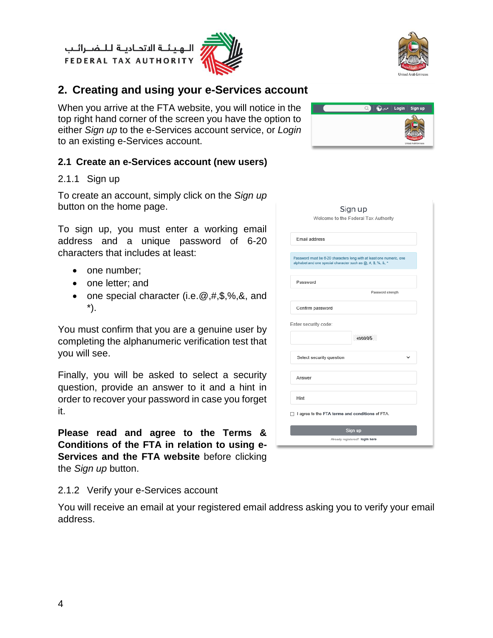الــهـيـئــة الاتحــاديــة لــلــضــرائــب<br>FEDERAL TAX AUTHORITY





## <span id="page-3-0"></span>**2. Creating and using your e-Services account**

When you arrive at the FTA website, you will notice in the top right hand corner of the screen you have the option to either *Sign up* to the e-Services account service, or *Login* to an existing e-Services account.

#### <span id="page-3-1"></span>**2.1 Create an e-Services account (new users)**

#### <span id="page-3-2"></span>2.1.1 Sign up

To create an account, simply click on the *Sign up*  button on the home page.

To sign up, you must enter a working email address and a unique password of 6-20 characters that includes at least:

- one number:
- one letter; and
- one special character (i.e.  $\mathcal{Q}, \#$ , \$,%, &, and \*).

You must confirm that you are a genuine user by completing the alphanumeric verification test that you will see.

Finally, you will be asked to select a security question, provide an answer to it and a hint in order to recover your password in case you forget it.

**Please read and agree to the Terms & Conditions of the FTA in relation to using e-Services and the FTA website** before clicking the *Sign up* button.

#### <span id="page-3-3"></span>2.1.2 Verify your e-Services account

You will receive an email at your registered email address asking you to verify your email address.



| Sign up<br>Welcome to the Federal Tax Authority                                                                                      |
|--------------------------------------------------------------------------------------------------------------------------------------|
| Email address                                                                                                                        |
| Password must be 6-20 characters long with at least one numeric, one<br>alphabet and one special character such as @, #, \$, %, &, * |
| Password                                                                                                                             |
| Password strength                                                                                                                    |
| Confirm password                                                                                                                     |
| Enter security code:<br>400905                                                                                                       |
| Select security question<br>ĥ.                                                                                                       |
| Answer                                                                                                                               |
| Hint                                                                                                                                 |
| I agree to the FTA terms and conditions of FTA.                                                                                      |
| Sign up<br>Already registered? logIn here                                                                                            |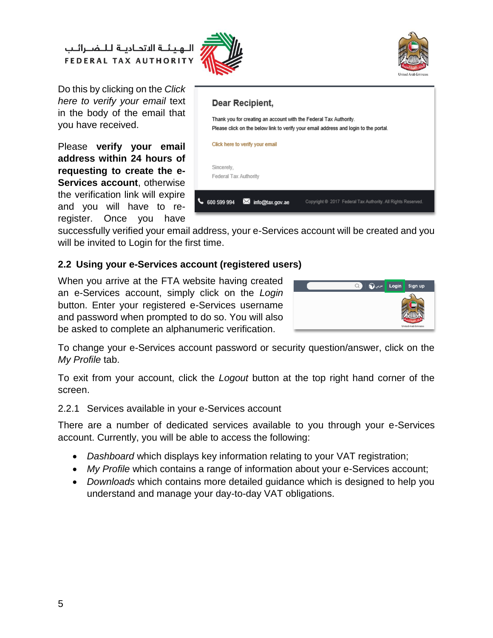الهيئة الاتحادية للضرائب **FEDERAL TAX AUTHORITY** 





Do this by clicking on the *Click here to verify your email* text in the body of the email that you have received.

Please **verify your email address within 24 hours of requesting to create the e-Services account**, otherwise the verification link will expire and you will have to reregister. Once you have



successfully verified your email address, your e-Services account will be created and you will be invited to Login for the first time.

#### <span id="page-4-0"></span>**2.2 Using your e-Services account (registered users)**

When you arrive at the FTA website having created an e-Services account, simply click on the *Login* button. Enter your registered e-Services username and password when prompted to do so. You will also be asked to complete an alphanumeric verification.



To change your e-Services account password or security question/answer, click on the *My Profile* tab.

To exit from your account, click the *Logout* button at the top right hand corner of the screen.

<span id="page-4-1"></span>2.2.1 Services available in your e-Services account

There are a number of dedicated services available to you through your e-Services account. Currently, you will be able to access the following:

- *Dashboard* which displays key information relating to your VAT registration;
- *My Profile* which contains a range of information about your e-Services account;
- *Downloads* which contains more detailed guidance which is designed to help you understand and manage your day-to-day VAT obligations.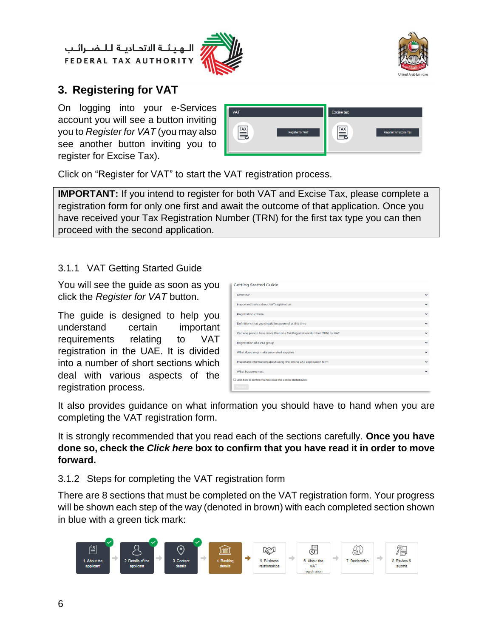الهيئة الاتحادية للـضـرائب **FEDERAL TAX AUTHORITY** 





## <span id="page-5-0"></span>**3. Registering for VAT**

On logging into your e-Services account you will see a button inviting you to *Register for VAT* (you may also see another button inviting you to register for Excise Tax).

| <b>VAT</b>              | <b>Excise tax</b>       |
|-------------------------|-------------------------|
| <u>™</u>                | E                       |
| <b>Register for VAT</b> | Register for Excise Tax |

Click on "Register for VAT" to start the VAT registration process.

**IMPORTANT:** If you intend to register for both VAT and Excise Tax, please complete a registration form for only one first and await the outcome of that application. Once you have received your Tax Registration Number (TRN) for the first tax type you can then proceed with the second application.

#### <span id="page-5-1"></span>3.1.1 VAT Getting Started Guide

You will see the guide as soon as you click the *Register for VAT* button.

The guide is designed to help you understand certain important requirements relating to VAT registration in the UAE. It is divided into a number of short sections which deal with various aspects of the registration process.

| <b>Getting Started Guide</b>                                                |              |
|-----------------------------------------------------------------------------|--------------|
| Overview                                                                    | $\checkmark$ |
| Important basics about VAT registration                                     | $\checkmark$ |
| <b>Registration criteria</b>                                                | $\checkmark$ |
| Definitions that you should be aware of at this time                        | $\checkmark$ |
| Can one person have more than one Tax Registration Number (TRN) for VAT     | $\checkmark$ |
| Registration of a VAT group                                                 | $\checkmark$ |
| What if you only make zero-rated supplies                                   | $\checkmark$ |
| Important information about using the online VAT application form           | $\checkmark$ |
| What happens next                                                           | $\checkmark$ |
| □ Click here to confirm you have read this getting started guide<br>Proceed |              |

It also provides guidance on what information you should have to hand when you are completing the VAT registration form.

It is strongly recommended that you read each of the sections carefully. **Once you have done so, check the** *Click here* **box to confirm that you have read it in order to move forward.** 

#### <span id="page-5-2"></span>3.1.2 Steps for completing the VAT registration form

There are 8 sections that must be completed on the VAT registration form. Your progress will be shown each step of the way (denoted in brown) with each completed section shown in blue with a green tick mark:

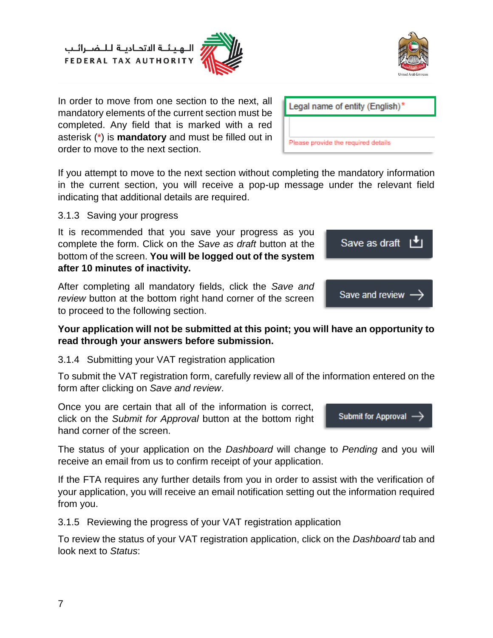

In order to move from one section to the next, all mandatory elements of the current section must be completed. Any field that is marked with a red asterisk (\*) is **mandatory** and must be filled out in order to move to the next section.

If you attempt to move to the next section without completing the mandatory information in the current section, you will receive a pop-up message under the relevant field indicating that additional details are required.

<span id="page-6-0"></span>3.1.3 Saving your progress

It is recommended that you save your progress as you complete the form. Click on the *Save as draft* button at the bottom of the screen. **You will be logged out of the system after 10 minutes of inactivity.**

After completing all mandatory fields, click the *Save and review* button at the bottom right hand corner of the screen to proceed to the following section.

#### **Your application will not be submitted at this point; you will have an opportunity to read through your answers before submission.**

#### <span id="page-6-1"></span>3.1.4 Submitting your VAT registration application

To submit the VAT registration form, carefully review all of the information entered on the form after clicking on *Save and review*.

Once you are certain that all of the information is correct, click on the *Submit for Approval* button at the bottom right hand corner of the screen.

The status of your application on the *Dashboard* will change to *Pending* and you will receive an email from us to confirm receipt of your application.

If the FTA requires any further details from you in order to assist with the verification of your application, you will receive an email notification setting out the information required from you.

<span id="page-6-2"></span>3.1.5 Reviewing the progress of your VAT registration application

To review the status of your VAT registration application, click on the *Dashboard* tab and look next to *Status*:



**Submit for Approval** 

Legal name of entity (English)\*

Please provide the required details

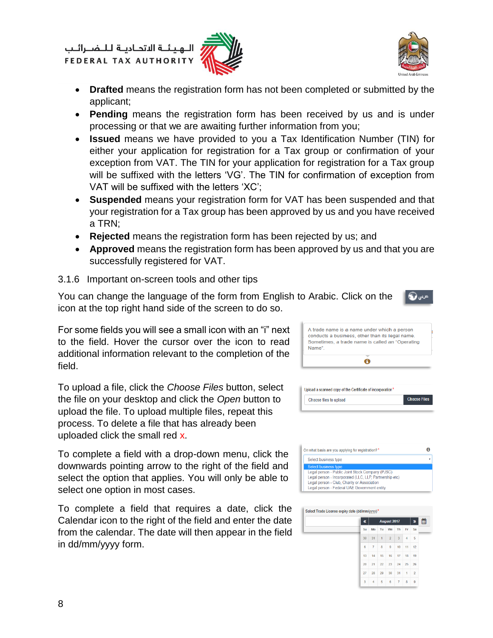هيئة الاتحادية للنضرائب **FEDERAL TAX AUTHORITY** 





میں ک

- **Drafted** means the registration form has not been completed or submitted by the applicant;
- **Pending** means the registration form has been received by us and is under processing or that we are awaiting further information from you;
- **Issued** means we have provided to you a Tax Identification Number (TIN) for either your application for registration for a Tax group or confirmation of your exception from VAT. The TIN for your application for registration for a Tax group will be suffixed with the letters 'VG'. The TIN for confirmation of exception from VAT will be suffixed with the letters 'XC';
- **Suspended** means your registration form for VAT has been suspended and that your registration for a Tax group has been approved by us and you have received a TRN;
- **Rejected** means the registration form has been rejected by us; and
- **Approved** means the registration form has been approved by us and that you are successfully registered for VAT.

#### <span id="page-7-0"></span>3.1.6 Important on-screen tools and other tips

You can change the language of the form from English to Arabic. Click on the icon at the top right hand side of the screen to do so.

For some fields you will see a small icon with an "i" next to the field. Hover the cursor over the icon to read additional information relevant to the completion of the field.

To upload a file, click the *Choose Files* button, select the file on your desktop and click the *Open* button to upload the file. To upload multiple files, repeat this process. To delete a file that has already been uploaded click the small red x.

To complete a field with a drop-down menu, click the downwards pointing arrow to the right of the field and select the option that applies. You will only be able to select one option in most cases.

To complete a field that requires a date, click the Calendar icon to the right of the field and enter the date from the calendar. The date will then appear in the field in dd/mm/yyyy form.





| Select Trade License expiry date (dd/mm/yyyy)* |    |    |                |                |                |    |                |   |
|------------------------------------------------|----|----|----------------|----------------|----------------|----|----------------|---|
|                                                | «  |    |                | August 2017    |                |    | »              | ⊞ |
|                                                | Su | Mo | Tu             | We             | Th             | Fr | Sa             |   |
|                                                | 30 | 31 | $\overline{1}$ | $\overline{2}$ | 3              | 4  | 5              |   |
|                                                | 6  | 7  | 8              | 9              | 10             | 11 | 12             |   |
|                                                | 13 | 14 | 15             | 16             | 17             | 18 | 19             |   |
|                                                | 20 | 21 | 22             | 23             | 24             | 25 | 26             |   |
|                                                | 27 | 28 | 29             | 30             | 31             | 1  | $\overline{2}$ |   |
|                                                | 3  | 4  | 5              | 6              | $\overline{7}$ | 8  | 9              |   |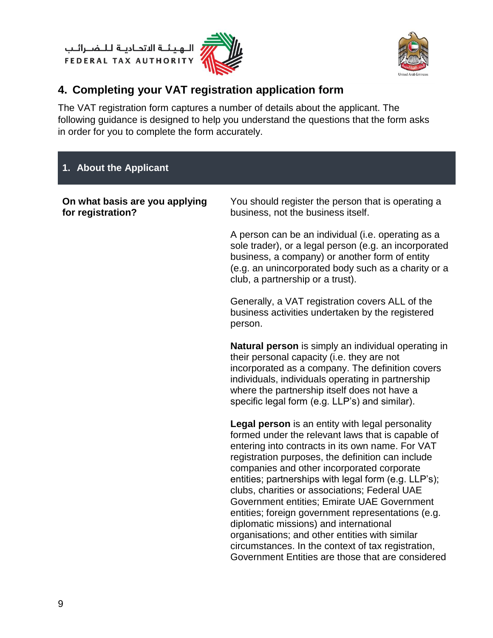ر<br>|<br>|FEDERAL TAX AUTHORITY<br>|PEDERAL TAX AUTHORITY





## <span id="page-8-0"></span>**4. Completing your VAT registration application form**

The VAT registration form captures a number of details about the applicant. The following guidance is designed to help you understand the questions that the form asks in order for you to complete the form accurately.

## **1. About the Applicant**

| On what basis are you applying<br>for registration? | You should register the person that is operating a<br>business, not the business itself.                                                                                                                                                                                                                                                                                                                                                                                                                                                                                                                                                                                          |
|-----------------------------------------------------|-----------------------------------------------------------------------------------------------------------------------------------------------------------------------------------------------------------------------------------------------------------------------------------------------------------------------------------------------------------------------------------------------------------------------------------------------------------------------------------------------------------------------------------------------------------------------------------------------------------------------------------------------------------------------------------|
|                                                     | A person can be an individual (i.e. operating as a<br>sole trader), or a legal person (e.g. an incorporated<br>business, a company) or another form of entity<br>(e.g. an unincorporated body such as a charity or a<br>club, a partnership or a trust).                                                                                                                                                                                                                                                                                                                                                                                                                          |
|                                                     | Generally, a VAT registration covers ALL of the<br>business activities undertaken by the registered<br>person.                                                                                                                                                                                                                                                                                                                                                                                                                                                                                                                                                                    |
|                                                     | <b>Natural person</b> is simply an individual operating in<br>their personal capacity (i.e. they are not<br>incorporated as a company. The definition covers<br>individuals, individuals operating in partnership<br>where the partnership itself does not have a<br>specific legal form (e.g. LLP's) and similar).                                                                                                                                                                                                                                                                                                                                                               |
|                                                     | Legal person is an entity with legal personality<br>formed under the relevant laws that is capable of<br>entering into contracts in its own name. For VAT<br>registration purposes, the definition can include<br>companies and other incorporated corporate<br>entities; partnerships with legal form (e.g. LLP's);<br>clubs, charities or associations; Federal UAE<br>Government entities; Emirate UAE Government<br>entities; foreign government representations (e.g.<br>diplomatic missions) and international<br>organisations; and other entities with similar<br>circumstances. In the context of tax registration,<br>Government Entities are those that are considered |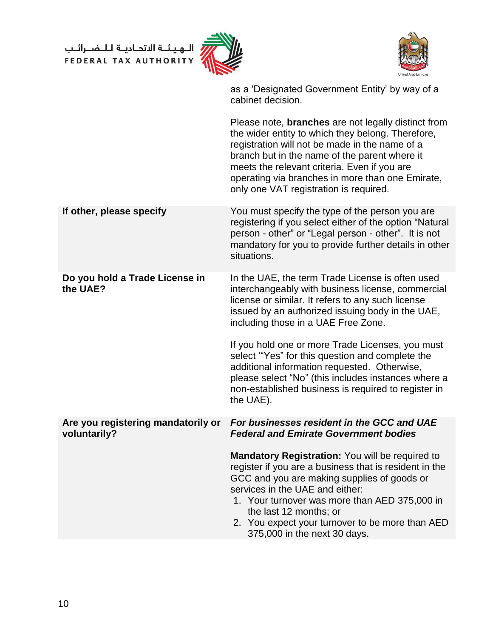ر<br>إسان الله ين الله الله الله FEDERAL TAX AUTHORITY





|                                                    | as a 'Designated Government Entity' by way of a<br>cabinet decision.                                                                                                                                                                                                                                                                                             |
|----------------------------------------------------|------------------------------------------------------------------------------------------------------------------------------------------------------------------------------------------------------------------------------------------------------------------------------------------------------------------------------------------------------------------|
|                                                    | Please note, <b>branches</b> are not legally distinct from<br>the wider entity to which they belong. Therefore,<br>registration will not be made in the name of a<br>branch but in the name of the parent where it<br>meets the relevant criteria. Even if you are<br>operating via branches in more than one Emirate,<br>only one VAT registration is required. |
| If other, please specify                           | You must specify the type of the person you are<br>registering if you select either of the option "Natural<br>person - other" or "Legal person - other". It is not<br>mandatory for you to provide further details in other<br>situations.                                                                                                                       |
| Do you hold a Trade License in<br>the UAE?         | In the UAE, the term Trade License is often used<br>interchangeably with business license, commercial<br>license or similar. It refers to any such license<br>issued by an authorized issuing body in the UAE,<br>including those in a UAE Free Zone.                                                                                                            |
|                                                    | If you hold one or more Trade Licenses, you must<br>select "Yes" for this question and complete the<br>additional information requested. Otherwise,<br>please select "No" (this includes instances where a<br>non-established business is required to register in<br>the UAE).                                                                                   |
| Are you registering mandatorily or<br>voluntarily? | For businesses resident in the GCC and UAE<br><b>Federal and Emirate Government bodies</b>                                                                                                                                                                                                                                                                       |
|                                                    | Mandatory Registration: You will be required to<br>register if you are a business that is resident in the<br>GCC and you are making supplies of goods or<br>services in the UAE and either:<br>1. Your turnover was more than AED 375,000 in<br>the last 12 months; or<br>2. You expect your turnover to be more than AED<br>375,000 in the next 30 days.        |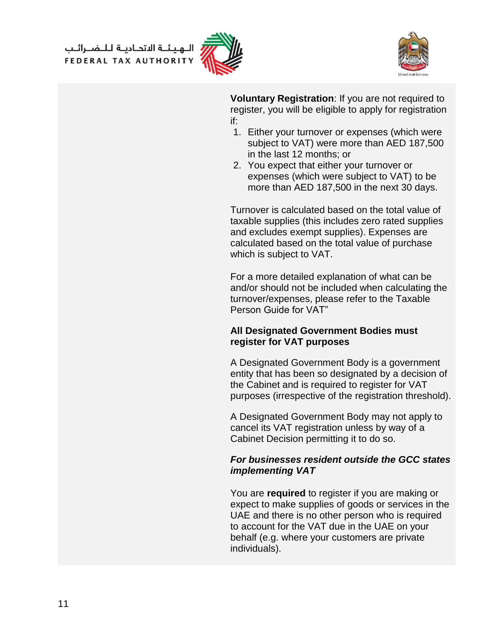الــهـيـئــة الاتحــاديــة لــلــضــرائــب<br>FEDERAL TAX AUTHORITY





**Voluntary Registration**: If you are not required to register, you will be eligible to apply for registration if:

- 1. Either your turnover or expenses (which were subject to VAT) were more than AED 187,500 in the last 12 months; or
- 2. You expect that either your turnover or expenses (which were subject to VAT) to be more than AED 187,500 in the next 30 days.

Turnover is calculated based on the total value of taxable supplies (this includes zero rated supplies and excludes exempt supplies). Expenses are calculated based on the total value of purchase which is subject to VAT.

For a more detailed explanation of what can be and/or should not be included when calculating the turnover/expenses, please refer to the Taxable Person Guide for VAT"

#### **All Designated Government Bodies must register for VAT purposes**

A Designated Government Body is a government entity that has been so designated by a decision of the Cabinet and is required to register for VAT purposes (irrespective of the registration threshold).

A Designated Government Body may not apply to cancel its VAT registration unless by way of a Cabinet Decision permitting it to do so.

#### *For businesses resident outside the GCC states implementing VAT*

You are **required** to register if you are making or expect to make supplies of goods or services in the UAE and there is no other person who is required to account for the VAT due in the UAE on your behalf (e.g. where your customers are private individuals).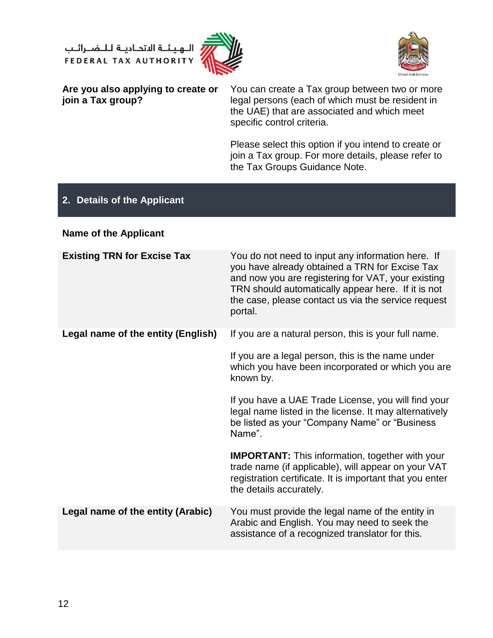الــهـيـئــة الاتحــاديــة لــلــضــرائــب<br>FEDERAL TAX AUTHORITY





**Are you also applying to create or join a Tax group?**

You can create a Tax group between two or more legal persons (each of which must be resident in the UAE) that are associated and which meet specific control criteria.

Please select this option if you intend to create or join a Tax group. For more details, please refer to the Tax Groups Guidance Note.

### **2. Details of the Applicant**

#### **Name of the Applicant**

| <b>Existing TRN for Excise Tax</b> | You do not need to input any information here. If<br>you have already obtained a TRN for Excise Tax<br>and now you are registering for VAT, your existing<br>TRN should automatically appear here. If it is not<br>the case, please contact us via the service request<br>portal. |
|------------------------------------|-----------------------------------------------------------------------------------------------------------------------------------------------------------------------------------------------------------------------------------------------------------------------------------|
| Legal name of the entity (English) | If you are a natural person, this is your full name.<br>If you are a legal person, this is the name under<br>which you have been incorporated or which you are<br>known by.                                                                                                       |
|                                    | If you have a UAE Trade License, you will find your<br>legal name listed in the license. It may alternatively<br>be listed as your "Company Name" or "Business"<br>Name".                                                                                                         |
|                                    | <b>IMPORTANT:</b> This information, together with your<br>trade name (if applicable), will appear on your VAT<br>registration certificate. It is important that you enter<br>the details accurately.                                                                              |
| Legal name of the entity (Arabic)  | You must provide the legal name of the entity in<br>Arabic and English. You may need to seek the<br>assistance of a recognized translator for this.                                                                                                                               |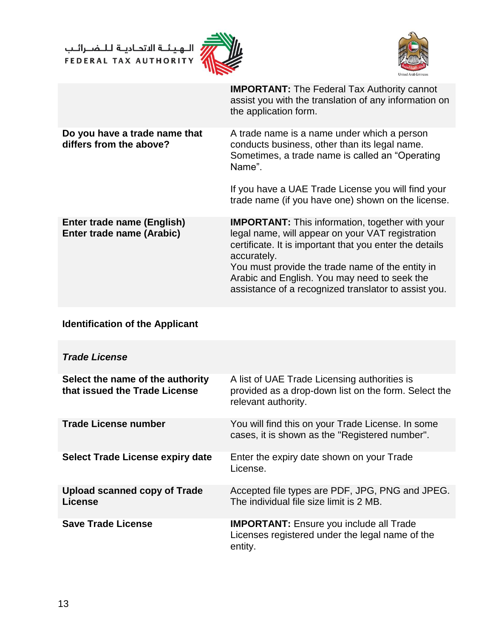ر<br>إن اللهيئــة الاتحـاديــة لـلــضــرائــب<br>4 FEDERAL TAX AUTHORITY





|                                                          | <b>IMPORTANT:</b> The Federal Tax Authority cannot<br>assist you with the translation of any information on<br>the application form.                                                                                                                                                                                                             |
|----------------------------------------------------------|--------------------------------------------------------------------------------------------------------------------------------------------------------------------------------------------------------------------------------------------------------------------------------------------------------------------------------------------------|
| Do you have a trade name that<br>differs from the above? | A trade name is a name under which a person<br>conducts business, other than its legal name.<br>Sometimes, a trade name is called an "Operating"<br>Name".<br>If you have a UAE Trade License you will find your<br>trade name (if you have one) shown on the license.                                                                           |
| Enter trade name (English)<br>Enter trade name (Arabic)  | <b>IMPORTANT:</b> This information, together with your<br>legal name, will appear on your VAT registration<br>certificate. It is important that you enter the details<br>accurately.<br>You must provide the trade name of the entity in<br>Arabic and English. You may need to seek the<br>assistance of a recognized translator to assist you. |

## **Identification of the Applicant**

| <b>Trade License</b>                                              |                                                                                                                             |
|-------------------------------------------------------------------|-----------------------------------------------------------------------------------------------------------------------------|
| Select the name of the authority<br>that issued the Trade License | A list of UAE Trade Licensing authorities is<br>provided as a drop-down list on the form. Select the<br>relevant authority. |
| <b>Trade License number</b>                                       | You will find this on your Trade License. In some<br>cases, it is shown as the "Registered number".                         |
| <b>Select Trade License expiry date</b>                           | Enter the expiry date shown on your Trade<br>License.                                                                       |
| Upload scanned copy of Trade<br>License                           | Accepted file types are PDF, JPG, PNG and JPEG.<br>The individual file size limit is 2 MB.                                  |
| <b>Save Trade License</b>                                         | <b>IMPORTANT:</b> Ensure you include all Trade<br>Licenses registered under the legal name of the<br>entity.                |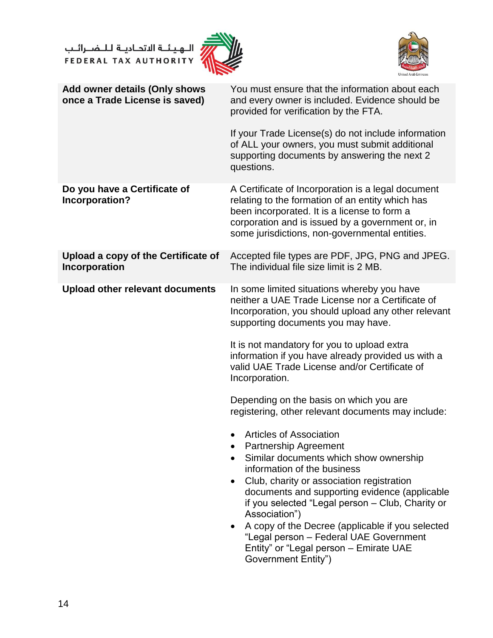ر<br>الـهيئــة الاتحــاديــة لــلــضــرائــب<br>FEDERAL TAX AUTHORITY





| Add owner details (Only shows<br>once a Trade License is saved) | You must ensure that the information about each<br>and every owner is included. Evidence should be<br>provided for verification by the FTA.                                                                                                                                                                                                                                                                                                                                            |
|-----------------------------------------------------------------|----------------------------------------------------------------------------------------------------------------------------------------------------------------------------------------------------------------------------------------------------------------------------------------------------------------------------------------------------------------------------------------------------------------------------------------------------------------------------------------|
|                                                                 | If your Trade License(s) do not include information<br>of ALL your owners, you must submit additional<br>supporting documents by answering the next 2<br>questions.                                                                                                                                                                                                                                                                                                                    |
| Do you have a Certificate of<br>Incorporation?                  | A Certificate of Incorporation is a legal document<br>relating to the formation of an entity which has<br>been incorporated. It is a license to form a<br>corporation and is issued by a government or, in<br>some jurisdictions, non-governmental entities.                                                                                                                                                                                                                           |
| Upload a copy of the Certificate of<br>Incorporation            | Accepted file types are PDF, JPG, PNG and JPEG.<br>The individual file size limit is 2 MB.                                                                                                                                                                                                                                                                                                                                                                                             |
| <b>Upload other relevant documents</b>                          | In some limited situations whereby you have<br>neither a UAE Trade License nor a Certificate of<br>Incorporation, you should upload any other relevant<br>supporting documents you may have.<br>It is not mandatory for you to upload extra                                                                                                                                                                                                                                            |
|                                                                 | information if you have already provided us with a<br>valid UAE Trade License and/or Certificate of<br>Incorporation.                                                                                                                                                                                                                                                                                                                                                                  |
|                                                                 | Depending on the basis on which you are<br>registering, other relevant documents may include:                                                                                                                                                                                                                                                                                                                                                                                          |
|                                                                 | <b>Articles of Association</b><br>$\bullet$<br><b>Partnership Agreement</b><br>Similar documents which show ownership<br>information of the business<br>Club, charity or association registration<br>documents and supporting evidence (applicable<br>if you selected "Legal person - Club, Charity or<br>Association")<br>A copy of the Decree (applicable if you selected<br>"Legal person - Federal UAE Government<br>Entity" or "Legal person - Emirate UAE<br>Government Entity") |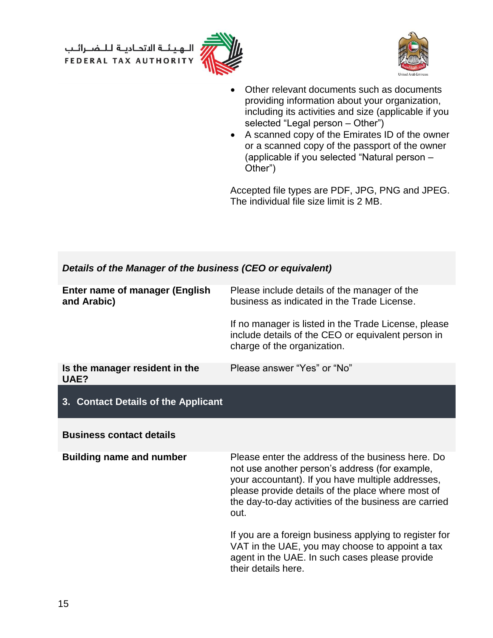الــهـيـئــة الىتحــاديــة لــلــضــرائــب<br>FEDERAL TAX AUTHORITY





- Other relevant documents such as documents providing information about your organization, including its activities and size (applicable if you selected "Legal person - Other")
- A scanned copy of the Emirates ID of the owner or a scanned copy of the passport of the owner (applicable if you selected "Natural person – Other")

Accepted file types are PDF, JPG, PNG and JPEG. The individual file size limit is 2 MB.

| Details of the Manager of the business (CEO or equivalent) |                                                                                                                                                                                                                                                                                |
|------------------------------------------------------------|--------------------------------------------------------------------------------------------------------------------------------------------------------------------------------------------------------------------------------------------------------------------------------|
| <b>Enter name of manager (English</b><br>and Arabic)       | Please include details of the manager of the<br>business as indicated in the Trade License.                                                                                                                                                                                    |
|                                                            | If no manager is listed in the Trade License, please<br>include details of the CEO or equivalent person in<br>charge of the organization.                                                                                                                                      |
| Is the manager resident in the<br>UAE?                     | Please answer "Yes" or "No"                                                                                                                                                                                                                                                    |
| 3. Contact Details of the Applicant                        |                                                                                                                                                                                                                                                                                |
|                                                            |                                                                                                                                                                                                                                                                                |
| <b>Business contact details</b>                            |                                                                                                                                                                                                                                                                                |
| <b>Building name and number</b>                            | Please enter the address of the business here. Do<br>not use another person's address (for example,<br>your accountant). If you have multiple addresses,<br>please provide details of the place where most of<br>the day-to-day activities of the business are carried<br>out. |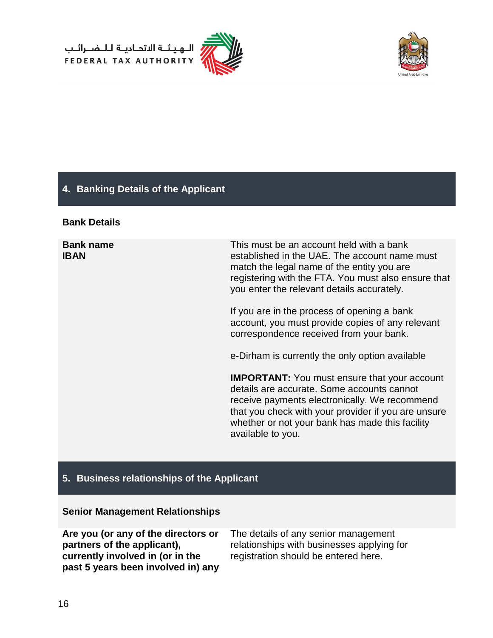



#### **4. Banking Details of the Applicant**

#### **Bank Details**

**Bank name IBAN**

This must be an account held with a bank established in the UAE. The account name must match the legal name of the entity you are registering with the FTA. You must also ensure that you enter the relevant details accurately.

If you are in the process of opening a bank account, you must provide copies of any relevant correspondence received from your bank.

e-Dirham is currently the only option available

**IMPORTANT:** You must ensure that your account details are accurate. Some accounts cannot receive payments electronically. We recommend that you check with your provider if you are unsure whether or not your bank has made this facility available to you.

#### **5. Business relationships of the Applicant**

#### **Senior Management Relationships**

**Are you (or any of the directors or partners of the applicant), currently involved in (or in the past 5 years been involved in) any**  The details of any senior management relationships with businesses applying for registration should be entered here.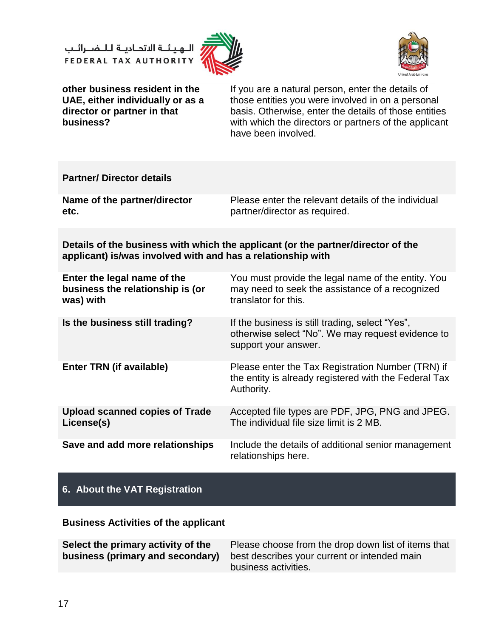الــهـيـئــة الىتحــاديــة لــلــضــرائــب<br>FEDERAL TAX AUTHORITY





**other business resident in the UAE, either individually or as a director or partner in that business?**

If you are a natural person, enter the details of those entities you were involved in on a personal basis. Otherwise, enter the details of those entities with which the directors or partners of the applicant have been involved.

| <b>Partner/Director details</b>                                                                                                                 |                                                                                                                               |  |
|-------------------------------------------------------------------------------------------------------------------------------------------------|-------------------------------------------------------------------------------------------------------------------------------|--|
| Name of the partner/director<br>etc.                                                                                                            | Please enter the relevant details of the individual<br>partner/director as required.                                          |  |
| Details of the business with which the applicant (or the partner/director of the<br>applicant) is/was involved with and has a relationship with |                                                                                                                               |  |
| Enter the legal name of the<br>business the relationship is (or<br>was) with                                                                    | You must provide the legal name of the entity. You<br>may need to seek the assistance of a recognized<br>translator for this. |  |
| Is the business still trading?                                                                                                                  | If the business is still trading, select "Yes",<br>otherwise select "No". We may request evidence to<br>support your answer.  |  |
| <b>Enter TRN (if available)</b>                                                                                                                 | Please enter the Tax Registration Number (TRN) if<br>the entity is already registered with the Federal Tax<br>Authority.      |  |
| <b>Upload scanned copies of Trade</b><br>License(s)                                                                                             | Accepted file types are PDF, JPG, PNG and JPEG.<br>The individual file size limit is 2 MB.                                    |  |
| Save and add more relationships                                                                                                                 | Include the details of additional senior management<br>relationships here.                                                    |  |

#### **6. About the VAT Registration**

**Business Activities of the applicant**

| Select the primary activity of the | Please choose from the drop down list of items that                                  |
|------------------------------------|--------------------------------------------------------------------------------------|
|                                    | <b>business (primary and secondary)</b> best describes your current or intended main |
|                                    | business activities.                                                                 |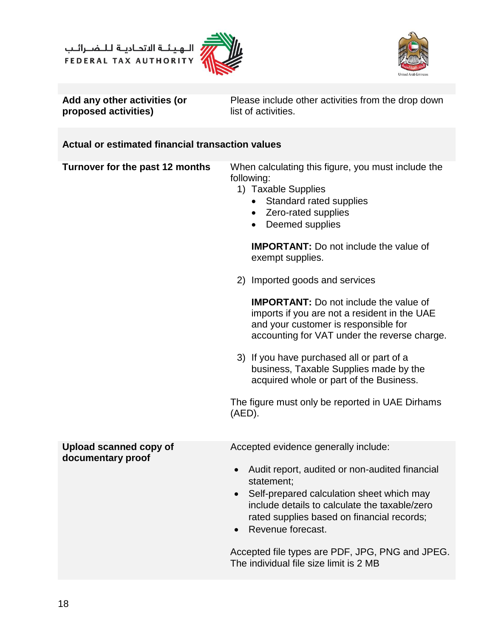الــهـيـئــة الىتحــاديــة لــلــضــرائــب<br>FEDERAL TAX AUTHORITY





**Add any other activities (or proposed activities)** 

Please include other activities from the drop down list of activities.

## **Actual or estimated financial transaction values**

| Turnover for the past 12 months | When calculating this figure, you must include the<br>following:<br>1) Taxable Supplies<br>Standard rated supplies<br>Zero-rated supplies<br>$\bullet$<br>Deemed supplies<br>$\bullet$<br><b>IMPORTANT:</b> Do not include the value of<br>exempt supplies.          |
|---------------------------------|----------------------------------------------------------------------------------------------------------------------------------------------------------------------------------------------------------------------------------------------------------------------|
|                                 | 2) Imported goods and services                                                                                                                                                                                                                                       |
|                                 | <b>IMPORTANT:</b> Do not include the value of<br>imports if you are not a resident in the UAE<br>and your customer is responsible for<br>accounting for VAT under the reverse charge.                                                                                |
|                                 | 3) If you have purchased all or part of a<br>business, Taxable Supplies made by the<br>acquired whole or part of the Business.                                                                                                                                       |
|                                 | The figure must only be reported in UAE Dirhams<br>$(AED)$ .                                                                                                                                                                                                         |
| <b>Upload scanned copy of</b>   | Accepted evidence generally include:                                                                                                                                                                                                                                 |
| documentary proof               | Audit report, audited or non-audited financial<br>$\bullet$<br>statement;<br>Self-prepared calculation sheet which may<br>$\bullet$<br>include details to calculate the taxable/zero<br>rated supplies based on financial records;<br>Revenue forecast.<br>$\bullet$ |
|                                 | Accepted file types are PDF, JPG, PNG and JPEG.<br>The individual file size limit is 2 MB                                                                                                                                                                            |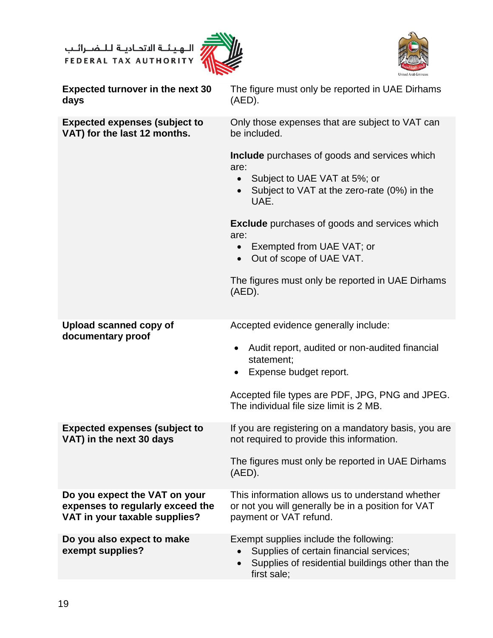ر<br>الهيئــة الاتحــاديــة لــلــضــرائــب<br>FEDERAL TAX AUTHORITY





| <b>Expected turnover in the next 30</b><br>days                                                    | The figure must only be reported in UAE Dirhams<br>(AED).                                                                                                        |
|----------------------------------------------------------------------------------------------------|------------------------------------------------------------------------------------------------------------------------------------------------------------------|
| <b>Expected expenses (subject to</b><br>VAT) for the last 12 months.                               | Only those expenses that are subject to VAT can<br>be included.                                                                                                  |
|                                                                                                    | <b>Include</b> purchases of goods and services which<br>are:<br>Subject to UAE VAT at 5%; or<br>$\bullet$<br>Subject to VAT at the zero-rate (0%) in the<br>UAE. |
|                                                                                                    | <b>Exclude</b> purchases of goods and services which<br>are:                                                                                                     |
|                                                                                                    | Exempted from UAE VAT; or<br>$\bullet$<br>Out of scope of UAE VAT.<br>$\bullet$                                                                                  |
|                                                                                                    | The figures must only be reported in UAE Dirhams<br>$(AED)$ .                                                                                                    |
| <b>Upload scanned copy of</b><br>documentary proof                                                 | Accepted evidence generally include:                                                                                                                             |
|                                                                                                    | Audit report, audited or non-audited financial<br>$\bullet$<br>statement;<br>Expense budget report.<br>$\bullet$                                                 |
|                                                                                                    | Accepted file types are PDF, JPG, PNG and JPEG.<br>The individual file size limit is 2 MB.                                                                       |
| <b>Expected expenses (subject to</b><br>VAT) in the next 30 days                                   | If you are registering on a mandatory basis, you are<br>not required to provide this information.                                                                |
|                                                                                                    | The figures must only be reported in UAE Dirhams<br>$(AED)$ .                                                                                                    |
| Do you expect the VAT on your<br>expenses to regularly exceed the<br>VAT in your taxable supplies? | This information allows us to understand whether<br>or not you will generally be in a position for VAT<br>payment or VAT refund.                                 |
| Do you also expect to make<br>exempt supplies?                                                     | Exempt supplies include the following:<br>Supplies of certain financial services;<br>Supplies of residential buildings other than the<br>first sale:             |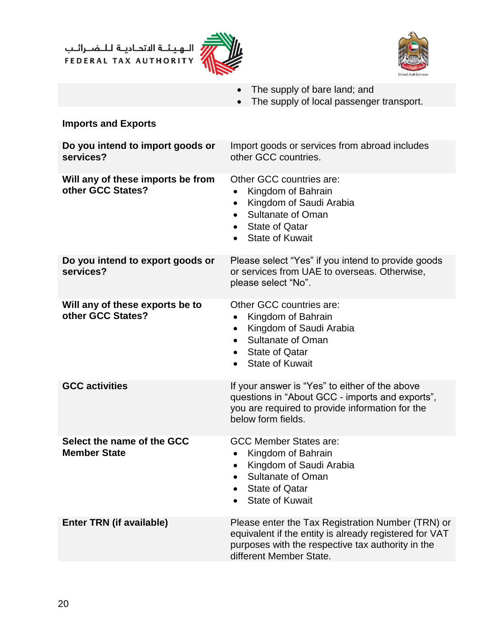،<br>إليهيئــة الاتحـاديــة لــلــضــرائــب<br>• FEDERAL TAX AUTHORITY





- The supply of bare land; and
- The supply of local passenger transport.

#### **Imports and Exports**

| Do you intend to import goods or<br>services?          | Import goods or services from abroad includes<br>other GCC countries.                                                                                                                                             |
|--------------------------------------------------------|-------------------------------------------------------------------------------------------------------------------------------------------------------------------------------------------------------------------|
| Will any of these imports be from<br>other GCC States? | Other GCC countries are:<br>Kingdom of Bahrain<br>Kingdom of Saudi Arabia<br>$\bullet$<br><b>Sultanate of Oman</b><br><b>State of Qatar</b><br>$\bullet$<br><b>State of Kuwait</b><br>$\bullet$                   |
| Do you intend to export goods or<br>services?          | Please select "Yes" if you intend to provide goods<br>or services from UAE to overseas. Otherwise,<br>please select "No".                                                                                         |
| Will any of these exports be to<br>other GCC States?   | Other GCC countries are:<br>Kingdom of Bahrain<br>$\bullet$<br>Kingdom of Saudi Arabia<br>$\bullet$<br><b>Sultanate of Oman</b><br>$\bullet$<br><b>State of Qatar</b><br>$\bullet$<br><b>State of Kuwait</b>      |
| <b>GCC activities</b>                                  | If your answer is "Yes" to either of the above<br>questions in "About GCC - imports and exports",<br>you are required to provide information for the<br>below form fields.                                        |
| Select the name of the GCC<br><b>Member State</b>      | <b>GCC Member States are:</b><br>Kingdom of Bahrain<br>$\bullet$<br>Kingdom of Saudi Arabia<br>$\bullet$<br><b>Sultanate of Oman</b><br>$\bullet$<br><b>State of Qatar</b><br>$\bullet$<br><b>State of Kuwait</b> |
| <b>Enter TRN (if available)</b>                        | Please enter the Tax Registration Number (TRN) or<br>equivalent if the entity is already registered for VAT<br>purposes with the respective tax authority in the<br>different Member State.                       |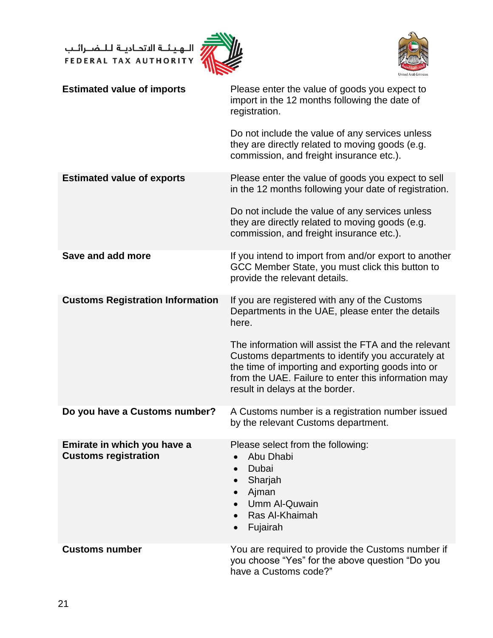ر<br>| الـهـيـئــة الاتحـاديــة لـلــضــرائــب<br>|-<br>| FEDERAL TAX AUTHORITY





| <b>Estimated value of imports</b>                          | Please enter the value of goods you expect to<br>import in the 12 months following the date of<br>registration.<br>Do not include the value of any services unless<br>they are directly related to moving goods (e.g.<br>commission, and freight insurance etc.).                                                                                                      |
|------------------------------------------------------------|------------------------------------------------------------------------------------------------------------------------------------------------------------------------------------------------------------------------------------------------------------------------------------------------------------------------------------------------------------------------|
| <b>Estimated value of exports</b>                          | Please enter the value of goods you expect to sell<br>in the 12 months following your date of registration.<br>Do not include the value of any services unless<br>they are directly related to moving goods (e.g.<br>commission, and freight insurance etc.).                                                                                                          |
| Save and add more                                          | If you intend to import from and/or export to another<br>GCC Member State, you must click this button to<br>provide the relevant details.                                                                                                                                                                                                                              |
| <b>Customs Registration Information</b>                    | If you are registered with any of the Customs<br>Departments in the UAE, please enter the details<br>here.<br>The information will assist the FTA and the relevant<br>Customs departments to identify you accurately at<br>the time of importing and exporting goods into or<br>from the UAE. Failure to enter this information may<br>result in delays at the border. |
| Do you have a Customs number?                              | A Customs number is a registration number issued<br>by the relevant Customs department.                                                                                                                                                                                                                                                                                |
| Emirate in which you have a<br><b>Customs registration</b> | Please select from the following:<br>Abu Dhabi<br>Dubai<br>Sharjah<br>$\bullet$<br>Ajman<br>$\bullet$<br>Umm Al-Quwain<br>Ras Al-Khaimah<br>Fujairah                                                                                                                                                                                                                   |
| <b>Customs number</b>                                      | You are required to provide the Customs number if<br>you choose "Yes" for the above question "Do you<br>have a Customs code?"                                                                                                                                                                                                                                          |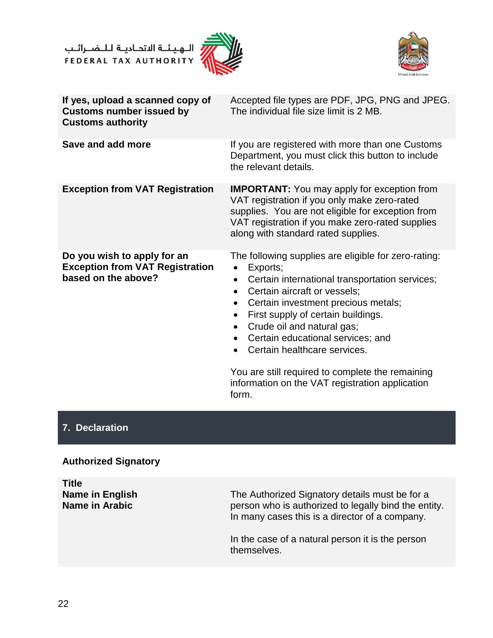الــهـيـئــة الاتحــاديــة لــلــضـــرائــب<br>FEDERAL TAX AUTHORITY





| If yes, upload a scanned copy of<br><b>Customs number issued by</b><br><b>Customs authority</b> | Accepted file types are PDF, JPG, PNG and JPEG.<br>The individual file size limit is 2 MB.                                                                                                                                                                                                                                                                                             |
|-------------------------------------------------------------------------------------------------|----------------------------------------------------------------------------------------------------------------------------------------------------------------------------------------------------------------------------------------------------------------------------------------------------------------------------------------------------------------------------------------|
| Save and add more                                                                               | If you are registered with more than one Customs<br>Department, you must click this button to include<br>the relevant details.                                                                                                                                                                                                                                                         |
| <b>Exception from VAT Registration</b>                                                          | <b>IMPORTANT:</b> You may apply for exception from<br>VAT registration if you only make zero-rated<br>supplies. You are not eligible for exception from<br>VAT registration if you make zero-rated supplies<br>along with standard rated supplies.                                                                                                                                     |
| Do you wish to apply for an<br><b>Exception from VAT Registration</b><br>based on the above?    | The following supplies are eligible for zero-rating:<br>Exports;<br>$\bullet$<br>Certain international transportation services;<br>$\bullet$<br>Certain aircraft or vessels;<br>$\bullet$<br>Certain investment precious metals;<br>First supply of certain buildings.<br>Crude oil and natural gas;<br>$\bullet$<br>Certain educational services; and<br>Certain healthcare services. |

You are still required to complete the remaining information on the VAT registration application form.

#### **7. Declaration**

#### **Authorized Signatory**

**Title Name in English Name in Arabic**  The Authorized Signatory details must be for a person who is authorized to legally bind the entity. In many cases this is a director of a company. In the case of a natural person it is the person themselves.